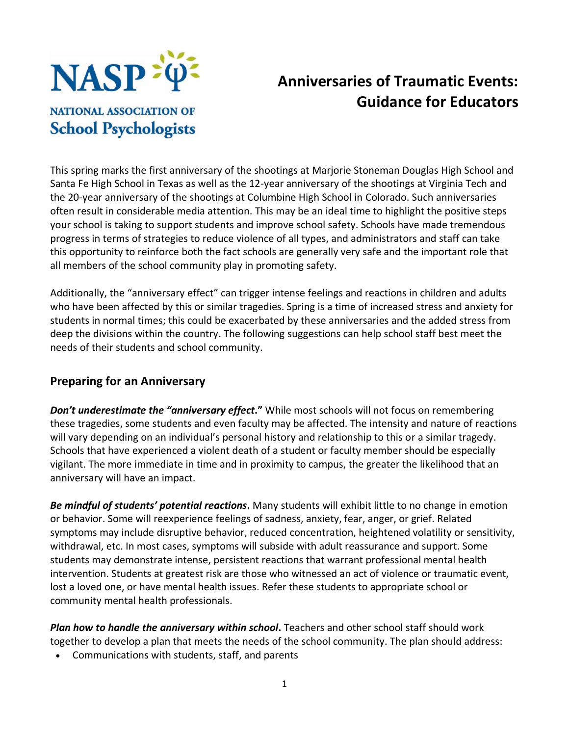

# **Anniversaries of Traumatic Events: Guidance for Educators**

**NATIONAL ASSOCIATION OF School Psychologists** 

This spring marks the first anniversary of the shootings at Marjorie Stoneman Douglas High School and Santa Fe High School in Texas as well as the 12-year anniversary of the shootings at Virginia Tech and the 20-year anniversary of the shootings at Columbine High School in Colorado. Such anniversaries often result in considerable media attention. This may be an ideal time to highlight the positive steps your school is taking to support students and improve school safety. Schools have made tremendous progress in terms of strategies to reduce violence of all types, and administrators and staff can take this opportunity to reinforce both the fact schools are generally very safe and the important role that all members of the school community play in promoting safety.

Additionally, the "anniversary effect" can trigger intense feelings and reactions in children and adults who have been affected by this or similar tragedies. Spring is a time of increased stress and anxiety for students in normal times; this could be exacerbated by these anniversaries and the added stress from deep the divisions within the country. The following suggestions can help school staff best meet the needs of their students and school community.

#### **Preparing for an Anniversary**

*Don't underestimate the "anniversary effect***."** While most schools will not focus on remembering these tragedies, some students and even faculty may be affected. The intensity and nature of reactions will vary depending on an individual's personal history and relationship to this or a similar tragedy. Schools that have experienced a violent death of a student or faculty member should be especially vigilant. The more immediate in time and in proximity to campus, the greater the likelihood that an anniversary will have an impact.

*Be mindful of students' potential reactions***.** Many students will exhibit little to no change in emotion or behavior. Some will reexperience feelings of sadness, anxiety, fear, anger, or grief. Related symptoms may include disruptive behavior, reduced concentration, heightened volatility or sensitivity, withdrawal, etc. In most cases, symptoms will subside with adult reassurance and support. Some students may demonstrate intense, persistent reactions that warrant professional mental health intervention. Students at greatest risk are those who witnessed an act of violence or traumatic event, lost a loved one, or have mental health issues. Refer these students to appropriate school or community mental health professionals.

*Plan how to handle the anniversary within school***.** Teachers and other school staff should work together to develop a plan that meets the needs of the school community. The plan should address:

• Communications with students, staff, and parents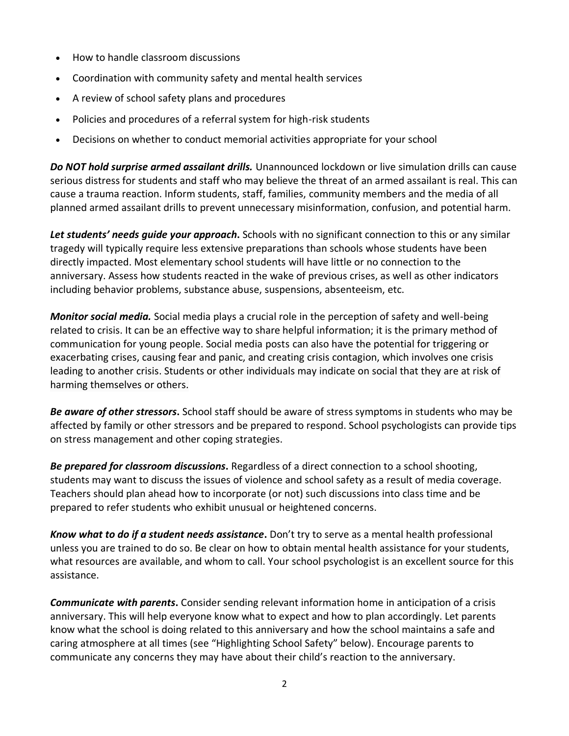- How to handle classroom discussions
- Coordination with community safety and mental health services
- A review of school safety plans and procedures
- Policies and procedures of a referral system for high-risk students
- Decisions on whether to conduct memorial activities appropriate for your school

*Do NOT hold surprise armed assailant drills.* Unannounced lockdown or live simulation drills can cause serious distress for students and staff who may believe the threat of an armed assailant is real. This can cause a trauma reaction. Inform students, staff, families, community members and the media of all planned armed assailant drills to prevent unnecessary misinformation, confusion, and potential harm.

*Let students' needs guide your approach***.** Schools with no significant connection to this or any similar tragedy will typically require less extensive preparations than schools whose students have been directly impacted. Most elementary school students will have little or no connection to the anniversary. Assess how students reacted in the wake of previous crises, as well as other indicators including behavior problems, substance abuse, suspensions, absenteeism, etc.

*Monitor social media.* Social media plays a crucial role in the perception of safety and well-being related to crisis. It can be an effective way to share helpful information; it is the primary method of communication for young people. Social media posts can also have the potential for triggering or exacerbating crises, causing fear and panic, and creating crisis contagion, which involves one crisis leading to another crisis. Students or other individuals may indicate on social that they are at risk of harming themselves or others.

*Be aware of other stressors***.** School staff should be aware of stress symptoms in students who may be affected by family or other stressors and be prepared to respond. School psychologists can provide tips on stress management and other coping strategies.

*Be prepared for classroom discussions***.** Regardless of a direct connection to a school shooting, students may want to discuss the issues of violence and school safety as a result of media coverage. Teachers should plan ahead how to incorporate (or not) such discussions into class time and be prepared to refer students who exhibit unusual or heightened concerns.

*Know what to do if a student needs assistance***.** Don't try to serve as a mental health professional unless you are trained to do so. Be clear on how to obtain mental health assistance for your students, what resources are available, and whom to call. Your school psychologist is an excellent source for this assistance.

*Communicate with parents***.** Consider sending relevant information home in anticipation of a crisis anniversary. This will help everyone know what to expect and how to plan accordingly. Let parents know what the school is doing related to this anniversary and how the school maintains a safe and caring atmosphere at all times (see "Highlighting School Safety" below). Encourage parents to communicate any concerns they may have about their child's reaction to the anniversary.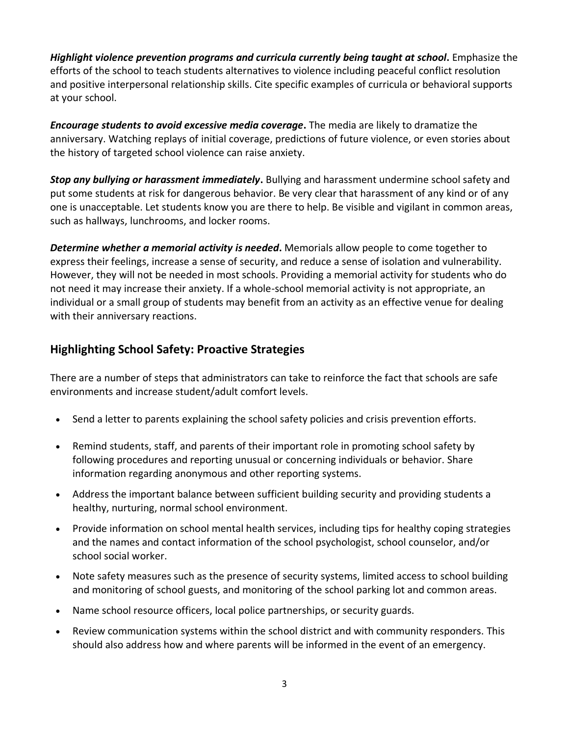*Highlight violence prevention programs and curricula currently being taught at school***.** Emphasize the efforts of the school to teach students alternatives to violence including peaceful conflict resolution and positive interpersonal relationship skills. Cite specific examples of curricula or behavioral supports at your school.

*Encourage students to avoid excessive media coverage***.** The media are likely to dramatize the anniversary. Watching replays of initial coverage, predictions of future violence, or even stories about the history of targeted school violence can raise anxiety.

*Stop any bullying or harassment immediately***.** Bullying and harassment undermine school safety and put some students at risk for dangerous behavior. Be very clear that harassment of any kind or of any one is unacceptable. Let students know you are there to help. Be visible and vigilant in common areas, such as hallways, lunchrooms, and locker rooms.

*Determine whether a memorial activity is needed***.** Memorials allow people to come together to express their feelings, increase a sense of security, and reduce a sense of isolation and vulnerability. However, they will not be needed in most schools. Providing a memorial activity for students who do not need it may increase their anxiety. If a whole-school memorial activity is not appropriate, an individual or a small group of students may benefit from an activity as an effective venue for dealing with their anniversary reactions.

# **Highlighting School Safety: Proactive Strategies**

There are a number of steps that administrators can take to reinforce the fact that schools are safe environments and increase student/adult comfort levels.

- Send a letter to parents explaining the school safety policies and crisis prevention efforts.
- Remind students, staff, and parents of their important role in promoting school safety by following procedures and reporting unusual or concerning individuals or behavior. Share information regarding anonymous and other reporting systems.
- Address the important balance between sufficient building security and providing students a healthy, nurturing, normal school environment.
- Provide information on school mental health services, including tips for healthy coping strategies and the names and contact information of the school psychologist, school counselor, and/or school social worker.
- Note safety measures such as the presence of security systems, limited access to school building and monitoring of school guests, and monitoring of the school parking lot and common areas.
- Name school resource officers, local police partnerships, or security guards.
- Review communication systems within the school district and with community responders. This should also address how and where parents will be informed in the event of an emergency.